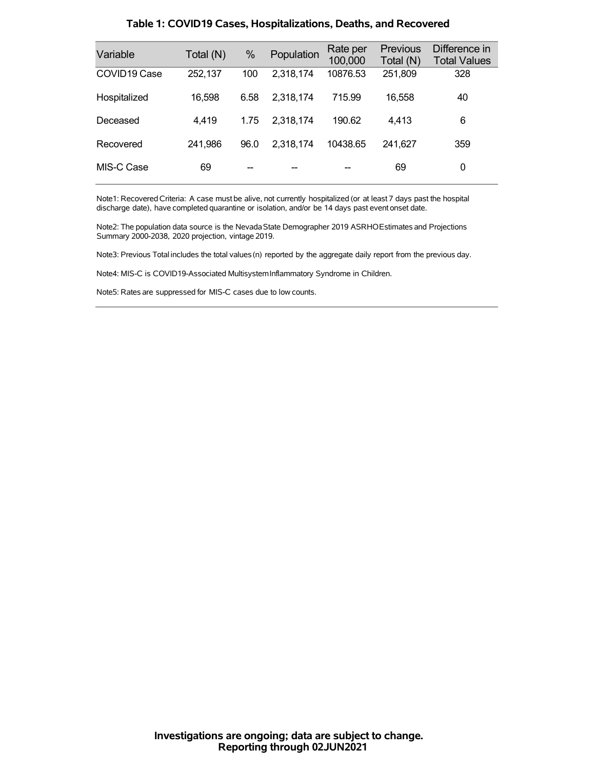| Variable     | Total (N) | $\%$ | Population | Rate per<br>100,000 | <b>Previous</b><br>Total (N) | Difference in<br><b>Total Values</b> |
|--------------|-----------|------|------------|---------------------|------------------------------|--------------------------------------|
| COVID19 Case | 252,137   | 100  | 2,318,174  | 10876.53            | 251,809                      | 328                                  |
| Hospitalized | 16,598    | 6.58 | 2,318,174  | 715.99              | 16,558                       | 40                                   |
| Deceased     | 4,419     | 1.75 | 2,318,174  | 190.62              | 4,413                        | 6                                    |
| Recovered    | 241,986   | 96.0 | 2,318,174  | 10438.65            | 241.627                      | 359                                  |
| MIS-C Case   | 69        |      |            |                     | 69                           | 0                                    |

### **Table 1: COVID19 Cases, Hospitalizations, Deaths, and Recovered**

Note1: Recovered Criteria: A case must be alive, not currently hospitalized (or at least 7 days past the hospital discharge date), have completed quarantine or isolation, and/or be 14 days past event onset date.

Note2: The population data source is the Nevada State Demographer 2019 ASRHOEstimates and Projections Summary 2000-2038, 2020 projection, vintage 2019.

Note3: Previous Total includes the total values(n) reported by the aggregate daily report from the previous day.

Note4: MIS-C is COVID19-Associated MultisystemInflammatory Syndrome in Children.

Note5: Rates are suppressed for MIS-C cases due to low counts.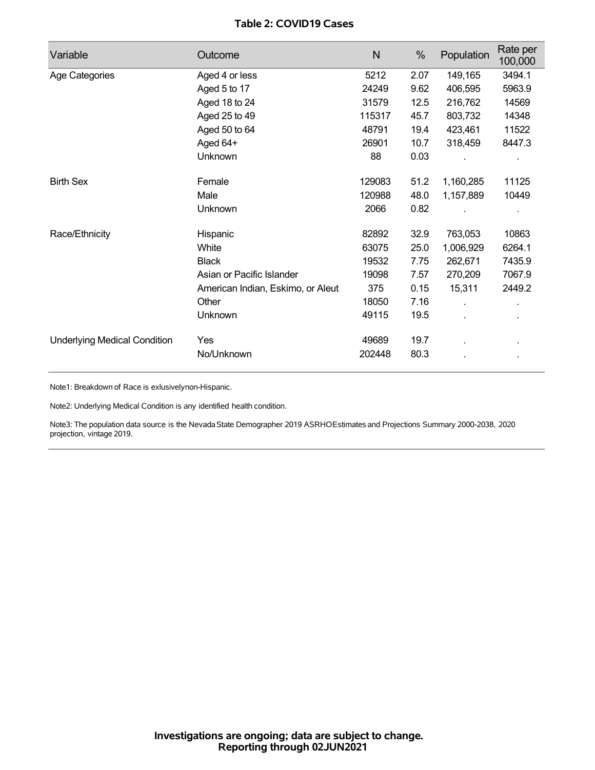## **Table 2: COVID19 Cases**

| Variable                            | Outcome                           | $\mathsf{N}$ | %    | Population | Rate per<br>100,000 |
|-------------------------------------|-----------------------------------|--------------|------|------------|---------------------|
| Age Categories                      | Aged 4 or less                    | 5212         | 2.07 | 149,165    | 3494.1              |
|                                     | Aged 5 to 17                      | 24249        | 9.62 | 406,595    | 5963.9              |
|                                     | Aged 18 to 24                     | 31579        | 12.5 | 216,762    | 14569               |
|                                     | Aged 25 to 49                     | 115317       | 45.7 | 803,732    | 14348               |
|                                     | Aged 50 to 64                     | 48791        | 19.4 | 423,461    | 11522               |
|                                     | Aged 64+                          | 26901        | 10.7 | 318,459    | 8447.3              |
|                                     | Unknown                           | 88           | 0.03 |            |                     |
| <b>Birth Sex</b>                    | Female                            | 129083       | 51.2 | 1,160,285  | 11125               |
|                                     | Male                              | 120988       | 48.0 | 1,157,889  | 10449               |
|                                     | Unknown                           | 2066         | 0.82 |            |                     |
| Race/Ethnicity                      | Hispanic                          | 82892        | 32.9 | 763,053    | 10863               |
|                                     | White                             | 63075        | 25.0 | 1,006,929  | 6264.1              |
|                                     | <b>Black</b>                      | 19532        | 7.75 | 262,671    | 7435.9              |
|                                     | Asian or Pacific Islander         | 19098        | 7.57 | 270,209    | 7067.9              |
|                                     | American Indian, Eskimo, or Aleut | 375          | 0.15 | 15,311     | 2449.2              |
|                                     | Other                             | 18050        | 7.16 | ä,         | ä.                  |
|                                     | Unknown                           | 49115        | 19.5 |            |                     |
| <b>Underlying Medical Condition</b> | Yes                               | 49689        | 19.7 |            |                     |
|                                     | No/Unknown                        | 202448       | 80.3 |            |                     |

Note1: Breakdown of Race is exlusivelynon-Hispanic.

Note2: Underlying Medical Condition is any identified health condition.

Note3: The population data source is the NevadaState Demographer 2019 ASRHOEstimates and Projections Summary 2000-2038, 2020 projection, vintage 2019.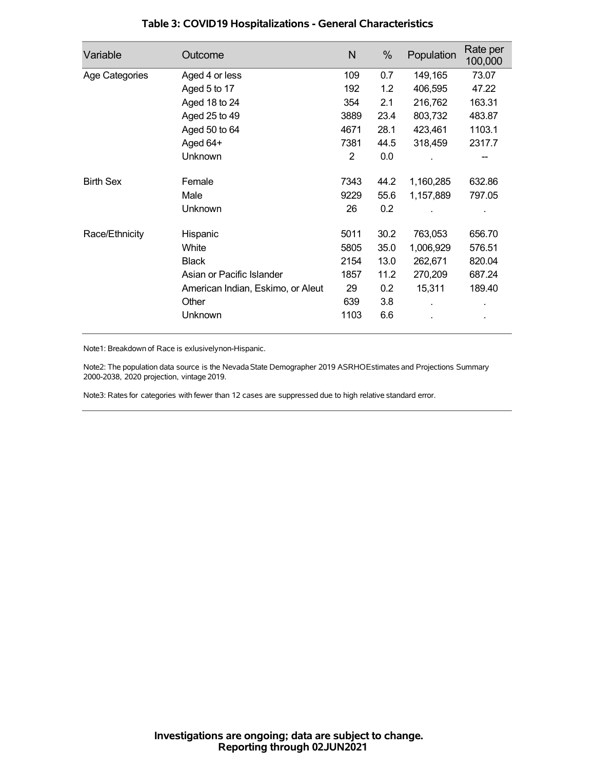| Variable         | Outcome                           | N    | %    | Population | Rate per<br>100,000 |
|------------------|-----------------------------------|------|------|------------|---------------------|
| Age Categories   | Aged 4 or less                    | 109  | 0.7  | 149,165    | 73.07               |
|                  | Aged 5 to 17                      | 192  | 1.2  | 406,595    | 47.22               |
|                  | Aged 18 to 24                     | 354  | 2.1  | 216,762    | 163.31              |
|                  | Aged 25 to 49                     | 3889 | 23.4 | 803,732    | 483.87              |
|                  | Aged 50 to 64                     | 4671 | 28.1 | 423,461    | 1103.1              |
|                  | Aged 64+                          | 7381 | 44.5 | 318,459    | 2317.7              |
|                  | Unknown                           | 2    | 0.0  |            |                     |
| <b>Birth Sex</b> | Female                            | 7343 | 44.2 | 1,160,285  | 632.86              |
|                  | Male                              | 9229 | 55.6 | 1,157,889  | 797.05              |
|                  | Unknown                           | 26   | 0.2  |            |                     |
| Race/Ethnicity   | Hispanic                          | 5011 | 30.2 | 763,053    | 656.70              |
|                  | White                             | 5805 | 35.0 | 1,006,929  | 576.51              |
|                  | <b>Black</b>                      | 2154 | 13.0 | 262,671    | 820.04              |
|                  | Asian or Pacific Islander         | 1857 | 11.2 | 270,209    | 687.24              |
|                  | American Indian, Eskimo, or Aleut | 29   | 0.2  | 15,311     | 189.40              |
|                  | Other                             | 639  | 3.8  |            |                     |
|                  | Unknown                           | 1103 | 6.6  |            |                     |

## **Table 3: COVID19 Hospitalizations - General Characteristics**

Note1: Breakdown of Race is exlusivelynon-Hispanic.

Note2: The population data source is the Nevada State Demographer 2019 ASRHOEstimates and Projections Summary 2000-2038, 2020 projection, vintage 2019.

Note3: Rates for categories with fewer than 12 cases are suppressed due to high relative standard error.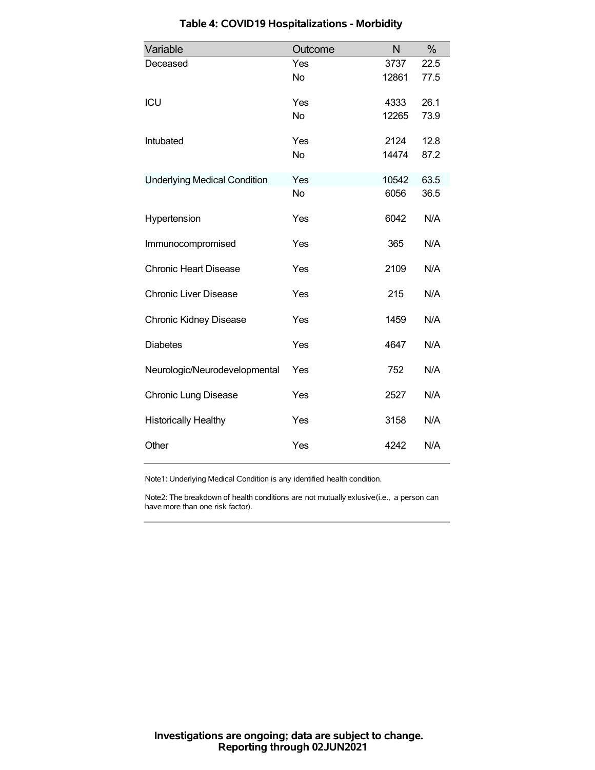| Variable                            | Outcome   | N     | %    |
|-------------------------------------|-----------|-------|------|
| Deceased                            | Yes       | 3737  | 22.5 |
|                                     | <b>No</b> | 12861 | 77.5 |
| ICU                                 | Yes       | 4333  | 26.1 |
|                                     | <b>No</b> | 12265 | 73.9 |
| Intubated                           | Yes       | 2124  | 12.8 |
|                                     | <b>No</b> | 14474 | 87.2 |
| <b>Underlying Medical Condition</b> | Yes       | 10542 | 63.5 |
|                                     | <b>No</b> | 6056  | 36.5 |
| Hypertension                        | Yes       | 6042  | N/A  |
| Immunocompromised                   | Yes       | 365   | N/A  |
| <b>Chronic Heart Disease</b>        | Yes       | 2109  | N/A  |
| <b>Chronic Liver Disease</b>        | Yes       | 215   | N/A  |
| <b>Chronic Kidney Disease</b>       | Yes       | 1459  | N/A  |
| <b>Diabetes</b>                     | Yes       | 4647  | N/A  |
| Neurologic/Neurodevelopmental       | Yes       | 752   | N/A  |
| <b>Chronic Lung Disease</b>         | Yes       | 2527  | N/A  |
| <b>Historically Healthy</b>         | Yes       | 3158  | N/A  |
| Other                               | Yes       | 4242  | N/A  |

# **Table 4: COVID19 Hospitalizations - Morbidity**

Note1: Underlying Medical Condition is any identified health condition.

Note2: The breakdown of health conditions are not mutually exlusive(i.e., a person can have more than one risk factor).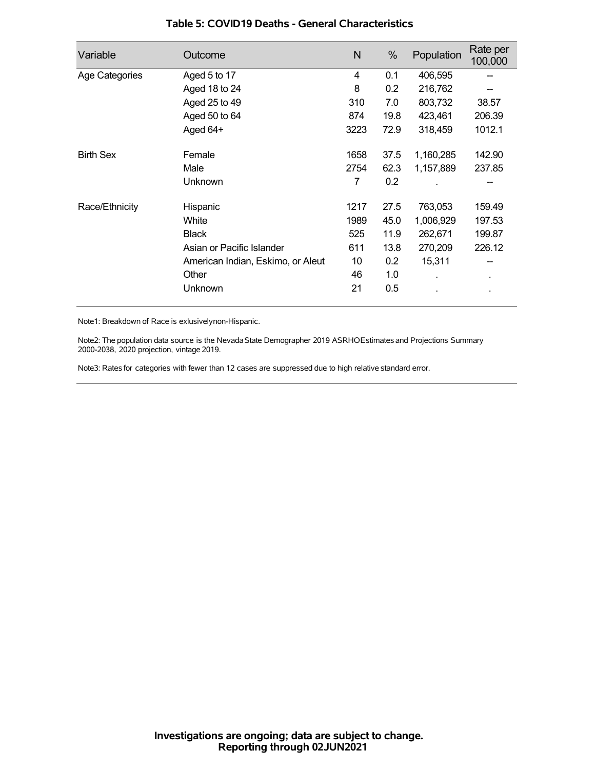| Variable         | Outcome                           | N    | %    | Population | Rate per<br>100,000 |
|------------------|-----------------------------------|------|------|------------|---------------------|
| Age Categories   | Aged 5 to 17                      | 4    | 0.1  | 406,595    |                     |
|                  | Aged 18 to 24                     | 8    | 0.2  | 216,762    |                     |
|                  | Aged 25 to 49                     | 310  | 7.0  | 803,732    | 38.57               |
|                  | Aged 50 to 64                     | 874  | 19.8 | 423,461    | 206.39              |
|                  | Aged 64+                          | 3223 | 72.9 | 318,459    | 1012.1              |
| <b>Birth Sex</b> | Female                            | 1658 | 37.5 | 1,160,285  | 142.90              |
|                  | Male                              | 2754 | 62.3 | 1,157,889  | 237.85              |
|                  | Unknown                           | 7    | 0.2  |            |                     |
| Race/Ethnicity   | Hispanic                          | 1217 | 27.5 | 763,053    | 159.49              |
|                  | White                             | 1989 | 45.0 | 1,006,929  | 197.53              |
|                  | <b>Black</b>                      | 525  | 11.9 | 262,671    | 199.87              |
|                  | Asian or Pacific Islander         | 611  | 13.8 | 270,209    | 226.12              |
|                  | American Indian, Eskimo, or Aleut | 10   | 0.2  | 15,311     |                     |
|                  | Other                             | 46   | 1.0  |            | ٠                   |
|                  | Unknown                           | 21   | 0.5  |            |                     |

### **Table 5: COVID19 Deaths - General Characteristics**

Note1: Breakdown of Race is exlusivelynon-Hispanic.

Note2: The population data source is the Nevada State Demographer 2019 ASRHOEstimates and Projections Summary 2000-2038, 2020 projection, vintage 2019.

Note3: Rates for categories with fewer than 12 cases are suppressed due to high relative standard error.